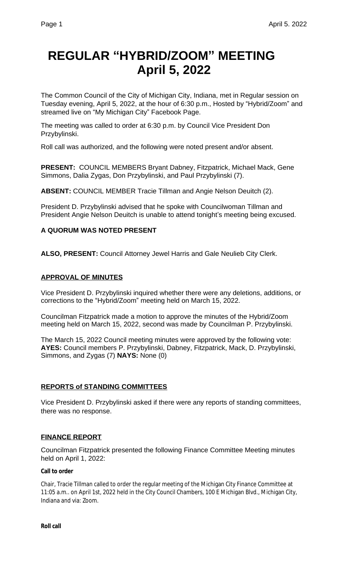# **REGULAR "HYBRID/ZOOM" MEETING April 5, 2022**

The Common Council of the City of Michigan City, Indiana, met in Regular session on Tuesday evening, April 5, 2022, at the hour of 6:30 p.m., Hosted by "Hybrid/Zoom" and streamed live on "My Michigan City" Facebook Page.

The meeting was called to order at 6:30 p.m. by Council Vice President Don Przybylinski.

Roll call was authorized, and the following were noted present and/or absent.

**PRESENT:** COUNCIL MEMBERS Bryant Dabney, Fitzpatrick, Michael Mack, Gene Simmons, Dalia Zygas, Don Przybylinski, and Paul Przybylinski (7).

**ABSENT:** COUNCIL MEMBER Tracie Tillman and Angie Nelson Deuitch (2).

President D. Przybylinski advised that he spoke with Councilwoman Tillman and President Angie Nelson Deuitch is unable to attend tonight's meeting being excused.

## **A QUORUM WAS NOTED PRESENT**

**ALSO, PRESENT:** Council Attorney Jewel Harris and Gale Neulieb City Clerk.

## **APPROVAL OF MINUTES**

Vice President D. Przybylinski inquired whether there were any deletions, additions, or corrections to the "Hybrid/Zoom" meeting held on March 15, 2022.

Councilman Fitzpatrick made a motion to approve the minutes of the Hybrid/Zoom meeting held on March 15, 2022, second was made by Councilman P. Przybylinski.

The March 15, 2022 Council meeting minutes were approved by the following vote: **AYES:** Council members P. Przybylinski, Dabney, Fitzpatrick, Mack, D. Przybylinski, Simmons, and Zygas (7) **NAYS:** None (0)

## **REPORTS of STANDING COMMITTEES**

Vice President D. Przybylinski asked if there were any reports of standing committees, there was no response.

## **FINANCE REPORT**

Councilman Fitzpatrick presented the following Finance Committee Meeting minutes held on April 1, 2022:

## **Call to order**

Chair, Tracie Tillman called to order the regular meeting of the Michigan City Finance Committee at 11:05 a.m.. on April 1st, 2022 held in the City Council Chambers, 100 E Michigan Blvd., Michigan City, Indiana and via: Zoom.

**Roll call**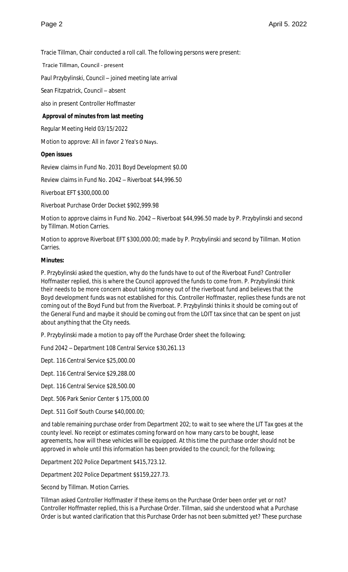Tracie Tillman, Chair conducted a roll call. The following persons were present:

Tracie Tillman, Council - present

Paul Przybylinski, Council – joined meeting late arrival

Sean Fitzpatrick, Council – absent

also in present Controller Hoffmaster

#### **Approval of minutes from last meeting**

Regular Meeting Held 03/15/2022

Motion to approve: All in favor 2 Yea's 0 Nays.

#### **Open issues**

Review claims in Fund No. 2031 Boyd Development \$0.00

Review claims in Fund No. 2042 – Riverboat \$44,996.50

Riverboat EFT \$300,000.00

Riverboat Purchase Order Docket \$902,999.98

Motion to approve claims in Fund No. 2042 – Riverboat \$44,996.50 made by P. Przybylinski and second by Tillman. Motion Carries.

Motion to approve Riverboat EFT \$300,000.00; made by P. Przybylinski and second by Tillman. Motion Carries.

#### **Minutes:**

P. Przybylinski asked the question, why do the funds have to out of the Riverboat Fund? Controller Hoffmaster replied, this is where the Council approved the funds to come from. P. Przybylinski think their needs to be more concern about taking money out of the riverboat fund and believes that the Boyd development funds was not established for this. Controller Hoffmaster, replies these funds are not coming out of the Boyd Fund but from the Riverboat. P. Przybylinski thinks it should be coming out of the General Fund and maybe it should be coming out from the LOIT tax since that can be spent on just about anything that the City needs.

P. Przybylinski made a motion to pay off the Purchase Order sheet the following;

Fund 2042 – Department 108 Central Service \$30,261.13

Dept. 116 Central Service \$25,000.00

Dept. 116 Central Service \$29,288.00

Dept. 116 Central Service \$28,500.00

Dept. 506 Park Senior Center \$ 175,000.00

Dept. 511 Golf South Course \$40,000.00;

and table remaining purchase order from Department 202; to wait to see where the LIT Tax goes at the county level. No receipt or estimates coming forward on how many cars to be bought, lease agreements, how will these vehicles will be equipped. At this time the purchase order should not be approved in whole until this information has been provided to the council; for the following;

Department 202 Police Department \$415,723.12.

Department 202 Police Department \$\$159,227.73.

Second by Tillman. Motion Carries.

Tillman asked Controller Hoffmaster if these items on the Purchase Order been order yet or not? Controller Hoffmaster replied, this is a Purchase Order. Tillman, said she understood what a Purchase Order is but wanted clarification that this Purchase Order has not been submitted yet? These purchase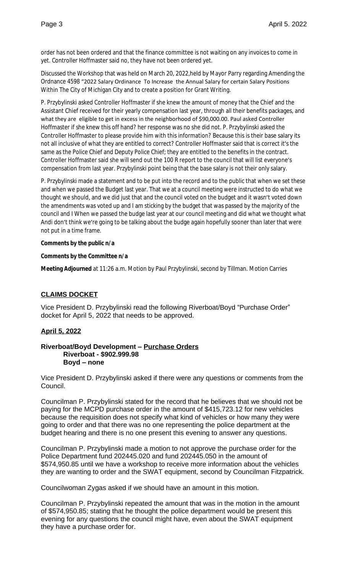order has not been ordered and that the finance committee is not waiting on any invoices to come in yet. Controller Hoffmaster said no, they have not been ordered yet.

Discussed the Workshop that was held on March 20, 2022,held by Mayor Parry regarding Amending the Ordnance 4598 "2022 Salary Ordinance To Increase the Annual Salary for certain Salary Positions Within The City of Michigan City and to create a position for Grant Writing.

P. Przybylinski asked Controller Hoffmaster if she knew the amount of money that the Chief and the Assistant Chief received for their yearly compensation last year, through all their benefits packages, and what they are eligible to get in excess in the neighborhood of \$90,000.00. Paul asked Controller Hoffmaster if she knew this off hand? her response was no she did not. P. Przybylinski asked the Controller Hoffmaster to please provide him with this information? Because this is their base salary its not all inclusive of what they are entitled to correct? Controller Hoffmaster said that is correct it's the same as the Police Chief and Deputy Police Chief; they are entitled to the benefits in the contract. Controller Hoffmaster said she will send out the 100 R report to the council that will list everyone's compensation from last year. Przybylinski point being that the base salary is not their only salary.

P. Przybylinski made a statement and to be put into the record and to the public that when we set these and when we passed the Budget last year. That we at a council meeting were instructed to do what we thought we should, and we did just that and the council voted on the budget and it wasn't voted down the amendments was voted up and I am sticking by the budget that was passed by the majority of the council and I When we passed the budge last year at our council meeting and did what we thought what Andi don't think we're going to be talking about the budge again hopefully sooner than later that were not put in a time frame.

## **Comments by the public n/a**

## **Comments by the Committee n/a**

**Meeting Adjourned** at 11:26 a.m. Motion by Paul Przybylinski, second by Tillman. Motion Carries

## **CLAIMS DOCKET**

Vice President D. Przybylinski read the following Riverboat/Boyd "Purchase Order" docket for April 5, 2022 that needs to be approved.

## **April 5, 2022**

### **Riverboat/Boyd Development – Purchase Orders Riverboat - \$902.999.98 Boyd – none**

Vice President D. Przybylinski asked if there were any questions or comments from the Council.

Councilman P. Przybylinski stated for the record that he believes that we should not be paying for the MCPD purchase order in the amount of \$415,723.12 for new vehicles because the requisition does not specify what kind of vehicles or how many they were going to order and that there was no one representing the police department at the budget hearing and there is no one present this evening to answer any questions.

Councilman P. Przybylinski made a motion to not approve the purchase order for the Police Department fund 202445.020 and fund 202445.050 in the amount of \$574,950.85 until we have a workshop to receive more information about the vehicles they are wanting to order and the SWAT equipment, second by Councilman Fitzpatrick.

Councilwoman Zygas asked if we should have an amount in this motion.

Councilman P. Przybylinski repeated the amount that was in the motion in the amount of \$574,950.85; stating that he thought the police department would be present this evening for any questions the council might have, even about the SWAT equipment they have a purchase order for.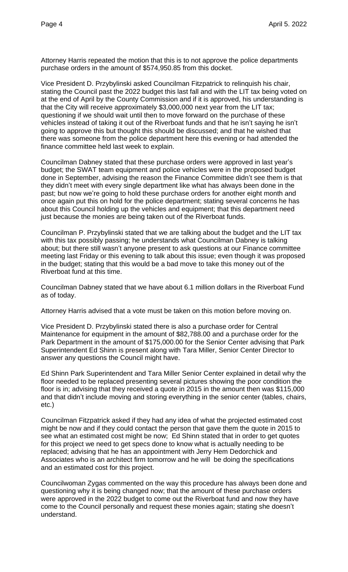Attorney Harris repeated the motion that this is to not approve the police departments purchase orders in the amount of \$574,950.85 from this docket.

Vice President D. Przybylinski asked Councilman Fitzpatrick to relinquish his chair, stating the Council past the 2022 budget this last fall and with the LIT tax being voted on at the end of April by the County Commission and if it is approved, his understanding is that the City will receive approximately \$3,000,000 next year from the LIT tax; questioning if we should wait until then to move forward on the purchase of these vehicles instead of taking it out of the Riverboat funds and that he isn't saying he isn't going to approve this but thought this should be discussed; and that he wished that there was someone from the police department here this evening or had attended the finance committee held last week to explain.

Councilman Dabney stated that these purchase orders were approved in last year's budget; the SWAT team equipment and police vehicles were in the proposed budget done in September, advising the reason the Finance Committee didn't see them is that they didn't meet with every single department like what has always been done in the past; but now we're going to hold these purchase orders for another eight month and once again put this on hold for the police department; stating several concerns he has about this Council holding up the vehicles and equipment; that this department need just because the monies are being taken out of the Riverboat funds.

Councilman P. Przybylinski stated that we are talking about the budget and the LIT tax with this tax possibly passing; he understands what Councilman Dabney is talking about; but there still wasn't anyone present to ask questions at our Finance committee meeting last Friday or this evening to talk about this issue; even though it was proposed in the budget; stating that this would be a bad move to take this money out of the Riverboat fund at this time.

Councilman Dabney stated that we have about 6.1 million dollars in the Riverboat Fund as of today.

Attorney Harris advised that a vote must be taken on this motion before moving on.

Vice President D. Przybylinski stated there is also a purchase order for Central Maintenance for equipment in the amount of \$82,788.00 and a purchase order for the Park Department in the amount of \$175,000.00 for the Senior Center advising that Park Superintendent Ed Shinn is present along with Tara Miller, Senior Center Director to answer any questions the Council might have.

Ed Shinn Park Superintendent and Tara Miller Senior Center explained in detail why the floor needed to be replaced presenting several pictures showing the poor condition the floor is in; advising that they received a quote in 2015 in the amount then was \$115,000 and that didn't include moving and storing everything in the senior center (tables, chairs, etc.)

Councilman Fitzpatrick asked if they had any idea of what the projected estimated cost might be now and if they could contact the person that gave them the quote in 2015 to see what an estimated cost might be now; Ed Shinn stated that in order to get quotes for this project we need to get specs done to know what is actually needing to be replaced; advising that he has an appointment with Jerry Hem Dedorchick and Associates who is an architect firm tomorrow and he will be doing the specifications and an estimated cost for this project.

Councilwoman Zygas commented on the way this procedure has always been done and questioning why it is being changed now; that the amount of these purchase orders were approved in the 2022 budget to come out the Riverboat fund and now they have come to the Council personally and request these monies again; stating she doesn't understand.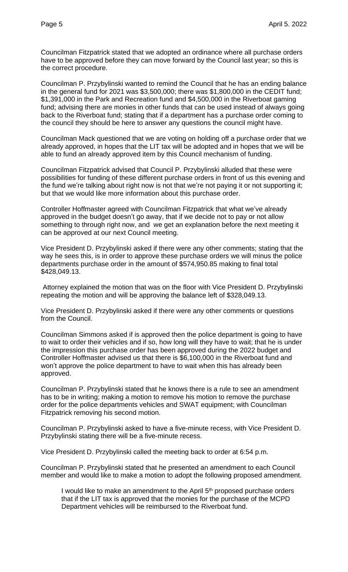Councilman Fitzpatrick stated that we adopted an ordinance where all purchase orders have to be approved before they can move forward by the Council last year; so this is the correct procedure.

Councilman P. Przybylinski wanted to remind the Council that he has an ending balance in the general fund for 2021 was \$3,500,000; there was \$1,800,000 in the CEDIT fund; \$1,391,000 in the Park and Recreation fund and \$4,500,000 in the Riverboat gaming fund; advising there are monies in other funds that can be used instead of always going back to the Riverboat fund; stating that if a department has a purchase order coming to the council they should be here to answer any questions the council might have.

Councilman Mack questioned that we are voting on holding off a purchase order that we already approved, in hopes that the LIT tax will be adopted and in hopes that we will be able to fund an already approved item by this Council mechanism of funding.

Councilman Fitzpatrick advised that Council P. Przybylinski alluded that these were possibilities for funding of these different purchase orders in front of us this evening and the fund we're talking about right now is not that we're not paying it or not supporting it; but that we would like more information about this purchase order.

Controller Hoffmaster agreed with Councilman Fitzpatrick that what we've already approved in the budget doesn't go away, that if we decide not to pay or not allow something to through right now, and we get an explanation before the next meeting it can be approved at our next Council meeting.

Vice President D. Przybylinski asked if there were any other comments; stating that the way he sees this, is in order to approve these purchase orders we will minus the police departments purchase order in the amount of \$574,950.85 making to final total \$428,049.13.

Attorney explained the motion that was on the floor with Vice President D. Przybylinski repeating the motion and will be approving the balance left of \$328,049.13.

Vice President D. Przybylinski asked if there were any other comments or questions from the Council.

Councilman Simmons asked if is approved then the police department is going to have to wait to order their vehicles and if so, how long will they have to wait; that he is under the impression this purchase order has been approved during the 2022 budget and Controller Hoffmaster advised us that there is \$6,100,000 in the Riverboat fund and won't approve the police department to have to wait when this has already been approved.

Councilman P. Przybylinski stated that he knows there is a rule to see an amendment has to be in writing; making a motion to remove his motion to remove the purchase order for the police departments vehicles and SWAT equipment; with Councilman Fitzpatrick removing his second motion.

Councilman P. Przybylinski asked to have a five-minute recess, with Vice President D. Przybylinski stating there will be a five-minute recess.

Vice President D. Przybylinski called the meeting back to order at 6:54 p.m.

Councilman P. Przybylinski stated that he presented an amendment to each Council member and would like to make a motion to adopt the following proposed amendment.

I would like to make an amendment to the April 5<sup>th</sup> proposed purchase orders that if the LIT tax is approved that the monies for the purchase of the MCPD Department vehicles will be reimbursed to the Riverboat fund.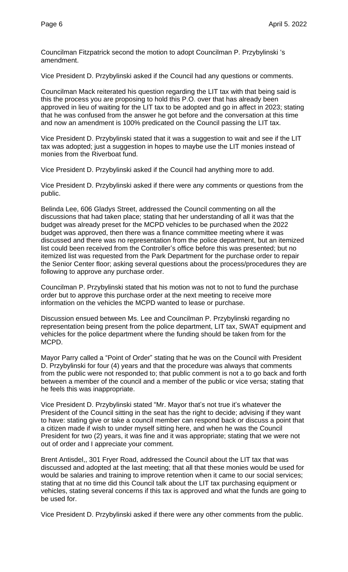Councilman Fitzpatrick second the motion to adopt Councilman P. Przybylinski 's amendment.

Vice President D. Przybylinski asked if the Council had any questions or comments.

Councilman Mack reiterated his question regarding the LIT tax with that being said is this the process you are proposing to hold this P.O. over that has already been approved in lieu of waiting for the LIT tax to be adopted and go in affect in 2023; stating that he was confused from the answer he got before and the conversation at this time and now an amendment is 100% predicated on the Council passing the LIT tax.

Vice President D. Przybylinski stated that it was a suggestion to wait and see if the LIT tax was adopted; just a suggestion in hopes to maybe use the LIT monies instead of monies from the Riverboat fund.

Vice President D. Przybylinski asked if the Council had anything more to add.

Vice President D. Przybylinski asked if there were any comments or questions from the public.

Belinda Lee, 606 Gladys Street, addressed the Council commenting on all the discussions that had taken place; stating that her understanding of all it was that the budget was already preset for the MCPD vehicles to be purchased when the 2022 budget was approved, then there was a finance committee meeting where it was discussed and there was no representation from the police department, but an itemized list could been received from the Controller's office before this was presented; but no itemized list was requested from the Park Department for the purchase order to repair the Senior Center floor; asking several questions about the process/procedures they are following to approve any purchase order.

Councilman P. Przybylinski stated that his motion was not to not to fund the purchase order but to approve this purchase order at the next meeting to receive more information on the vehicles the MCPD wanted to lease or purchase.

Discussion ensued between Ms. Lee and Councilman P. Przybylinski regarding no representation being present from the police department, LIT tax, SWAT equipment and vehicles for the police department where the funding should be taken from for the MCPD.

Mayor Parry called a "Point of Order" stating that he was on the Council with President D. Przybylinski for four (4) years and that the procedure was always that comments from the public were not responded to; that public comment is not a to go back and forth between a member of the council and a member of the public or vice versa; stating that he feels this was inappropriate.

Vice President D. Przybylinski stated "Mr. Mayor that's not true it's whatever the President of the Council sitting in the seat has the right to decide; advising if they want to have: stating give or take a council member can respond back or discuss a point that a citizen made if wish to under myself sitting here, and when he was the Council President for two (2) years, it was fine and it was appropriate; stating that we were not out of order and I appreciate your comment.

Brent Antisdel,, 301 Fryer Road, addressed the Council about the LIT tax that was discussed and adopted at the last meeting; that all that these monies would be used for would be salaries and training to improve retention when it came to our social services; stating that at no time did this Council talk about the LIT tax purchasing equipment or vehicles, stating several concerns if this tax is approved and what the funds are going to be used for.

Vice President D. Przybylinski asked if there were any other comments from the public.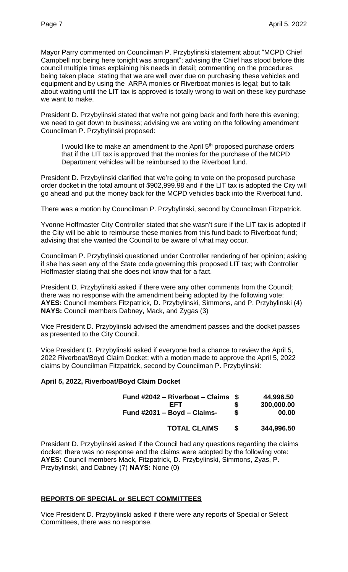Mayor Parry commented on Councilman P. Przybylinski statement about "MCPD Chief Campbell not being here tonight was arrogant"; advising the Chief has stood before this council multiple times explaining his needs in detail; commenting on the procedures being taken place stating that we are well over due on purchasing these vehicles and equipment and by using the ARPA monies or Riverboat monies is legal; but to talk about waiting until the LIT tax is approved is totally wrong to wait on these key purchase we want to make.

President D. Przybylinski stated that we're not going back and forth here this evening; we need to get down to business; advising we are voting on the following amendment Councilman P. Przybylinski proposed:

I would like to make an amendment to the April 5<sup>th</sup> proposed purchase orders that if the LIT tax is approved that the monies for the purchase of the MCPD Department vehicles will be reimbursed to the Riverboat fund.

President D. Przybylinski clarified that we're going to vote on the proposed purchase order docket in the total amount of \$902,999.98 and if the LIT tax is adopted the City will go ahead and put the money back for the MCPD vehicles back into the Riverboat fund.

There was a motion by Councilman P. Przybylinski, second by Councilman Fitzpatrick.

Yvonne Hoffmaster City Controller stated that she wasn't sure if the LIT tax is adopted if the City will be able to reimburse these monies from this fund back to Riverboat fund; advising that she wanted the Council to be aware of what may occur.

Councilman P. Przybylinski questioned under Controller rendering of her opinion; asking if she has seen any of the State code governing this proposed LIT tax; with Controller Hoffmaster stating that she does not know that for a fact.

President D. Przybylinski asked if there were any other comments from the Council; there was no response with the amendment being adopted by the following vote: **AYES:** Council members Fitzpatrick, D. Przybylinski, Simmons, and P. Przybylinski (4) **NAYS:** Council members Dabney, Mack, and Zygas (3)

Vice President D. Przybylinski advised the amendment passes and the docket passes as presented to the City Council.

Vice President D. Przybylinski asked if everyone had a chance to review the April 5, 2022 Riverboat/Boyd Claim Docket; with a motion made to approve the April 5, 2022 claims by Councilman Fitzpatrick, second by Councilman P. Przybylinski:

## **April 5, 2022, Riverboat/Boyd Claim Docket**

| Fund #2042 – Riverboat – Claims | - \$ | 44,996.50  |
|---------------------------------|------|------------|
| FFT                             | S    | 300,000.00 |
| Fund $\#2031 - Boyd - Claims$ - | S    | 00.00      |
| <b>TOTAL CLAIMS</b>             | S    | 344,996.50 |

President D. Przybylinski asked if the Council had any questions regarding the claims docket; there was no response and the claims were adopted by the following vote: **AYES:** Council members Mack, Fitzpatrick, D. Przybylinski, Simmons, Zyas, P. Przybylinski, and Dabney (7) **NAYS:** None (0)

## **REPORTS OF SPECIAL or SELECT COMMITTEES**

Vice President D. Przybylinski asked if there were any reports of Special or Select Committees, there was no response.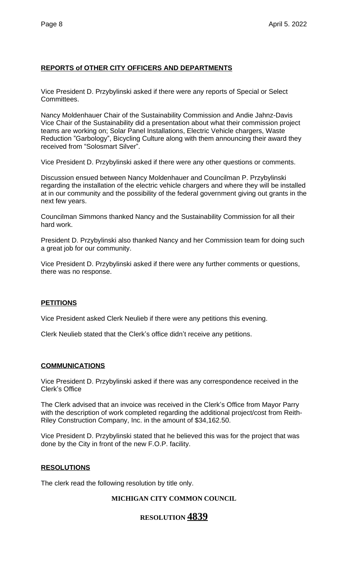## **REPORTS of OTHER CITY OFFICERS AND DEPARTMENTS**

Vice President D. Przybylinski asked if there were any reports of Special or Select Committees.

Nancy Moldenhauer Chair of the Sustainability Commission and Andie Jahnz-Davis Vice Chair of the Sustainability did a presentation about what their commission project teams are working on; Solar Panel Installations, Electric Vehicle chargers, Waste Reduction "Garbology", Bicycling Culture along with them announcing their award they received from "Solosmart Silver".

Vice President D. Przybylinski asked if there were any other questions or comments.

Discussion ensued between Nancy Moldenhauer and Councilman P. Przybylinski regarding the installation of the electric vehicle chargers and where they will be installed at in our community and the possibility of the federal government giving out grants in the next few years.

Councilman Simmons thanked Nancy and the Sustainability Commission for all their hard work.

President D. Przybylinski also thanked Nancy and her Commission team for doing such a great job for our community.

Vice President D. Przybylinski asked if there were any further comments or questions, there was no response.

## **PETITIONS**

Vice President asked Clerk Neulieb if there were any petitions this evening.

Clerk Neulieb stated that the Clerk's office didn't receive any petitions.

## **COMMUNICATIONS**

Vice President D. Przybylinski asked if there was any correspondence received in the Clerk's Office

The Clerk advised that an invoice was received in the Clerk's Office from Mayor Parry with the description of work completed regarding the additional project/cost from Reith-Riley Construction Company, Inc. in the amount of \$34,162.50.

Vice President D. Przybylinski stated that he believed this was for the project that was done by the City in front of the new F.O.P. facility.

## **RESOLUTIONS**

The clerk read the following resolution by title only.

## **MICHIGAN CITY COMMON COUNCIL**

## **RESOLUTION 4839**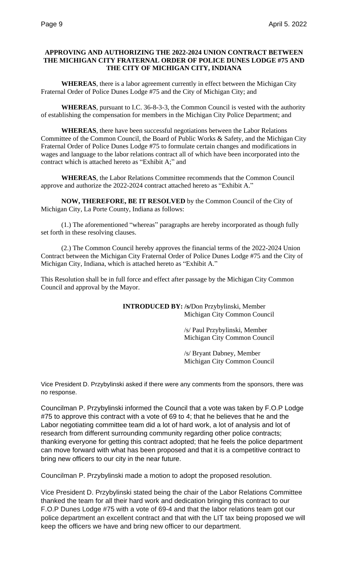## **APPROVING AND AUTHORIZING THE 2022-2024 UNION CONTRACT BETWEEN THE MICHIGAN CITY FRATERNAL ORDER OF POLICE DUNES LODGE #75 AND THE CITY OF MICHIGAN CITY, INDIANA**

**WHEREAS**, there is a labor agreement currently in effect between the Michigan City Fraternal Order of Police Dunes Lodge #75 and the City of Michigan City; and

**WHEREAS**, pursuant to I.C. 36-8-3-3, the Common Council is vested with the authority of establishing the compensation for members in the Michigan City Police Department; and

**WHEREAS**, there have been successful negotiations between the Labor Relations Committee of the Common Council, the Board of Public Works & Safety, and the Michigan City Fraternal Order of Police Dunes Lodge #75 to formulate certain changes and modifications in wages and language to the labor relations contract all of which have been incorporated into the contract which is attached hereto as "Exhibit A;" and

**WHEREAS**, the Labor Relations Committee recommends that the Common Council approve and authorize the 2022-2024 contract attached hereto as "Exhibit A."

**NOW, THEREFORE, BE IT RESOLVED** by the Common Council of the City of Michigan City, La Porte County, Indiana as follows:

(1.) The aforementioned "whereas" paragraphs are hereby incorporated as though fully set forth in these resolving clauses.

(2.) The Common Council hereby approves the financial terms of the 2022-2024 Union Contract between the Michigan City Fraternal Order of Police Dunes Lodge #75 and the City of Michigan City, Indiana, which is attached hereto as "Exhibit A."

This Resolution shall be in full force and effect after passage by the Michigan City Common Council and approval by the Mayor.

> **INTRODUCED BY: /s/**Don Przybylinski, Member Michigan City Common Council

> > /s/ Paul Przybylinski, Member Michigan City Common Council

> > /s/ Bryant Dabney, Member Michigan City Common Council

Vice President D. Przybylinski asked if there were any comments from the sponsors, there was no response.

Councilman P. Przybylinski informed the Council that a vote was taken by F.O.P Lodge #75 to approve this contract with a vote of 69 to 4; that he believes that he and the Labor negotiating committee team did a lot of hard work, a lot of analysis and lot of research from different surrounding community regarding other police contracts; thanking everyone for getting this contract adopted; that he feels the police department can move forward with what has been proposed and that it is a competitive contract to bring new officers to our city in the near future.

Councilman P. Przybylinski made a motion to adopt the proposed resolution.

Vice President D. Przybylinski stated being the chair of the Labor Relations Committee thanked the team for all their hard work and dedication bringing this contract to our F.O.P Dunes Lodge #75 with a vote of 69-4 and that the labor relations team got our police department an excellent contract and that with the LIT tax being proposed we will keep the officers we have and bring new officer to our department.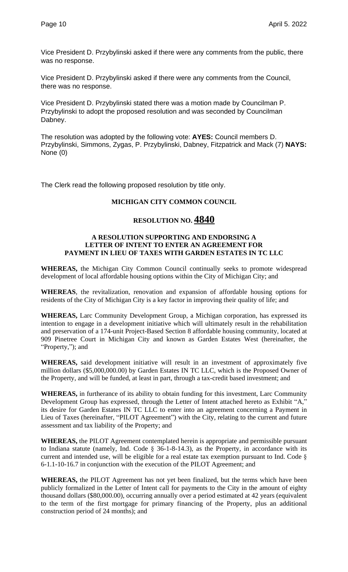Vice President D. Przybylinski asked if there were any comments from the public, there was no response.

Vice President D. Przybylinski asked if there were any comments from the Council, there was no response.

Vice President D. Przybylinski stated there was a motion made by Councilman P. Przybylinski to adopt the proposed resolution and was seconded by Councilman Dabney.

The resolution was adopted by the following vote: **AYES:** Council members D. Przybylinski, Simmons, Zygas, P. Przybylinski, Dabney, Fitzpatrick and Mack (7) **NAYS:** None (0)

The Clerk read the following proposed resolution by title only.

## **MICHIGAN CITY COMMON COUNCIL**

## **RESOLUTION NO. 4840**

## **A RESOLUTION SUPPORTING AND ENDORSING A LETTER OF INTENT TO ENTER AN AGREEMENT FOR PAYMENT IN LIEU OF TAXES WITH GARDEN ESTATES IN TC LLC**

**WHEREAS,** the Michigan City Common Council continually seeks to promote widespread development of local affordable housing options within the City of Michigan City; and

**WHEREAS**, the revitalization, renovation and expansion of affordable housing options for residents of the City of Michigan City is a key factor in improving their quality of life; and

**WHEREAS,** Larc Community Development Group, a Michigan corporation, has expressed its intention to engage in a development initiative which will ultimately result in the rehabilitation and preservation of a 174-unit Project-Based Section 8 affordable housing community, located at 909 Pinetree Court in Michigan City and known as Garden Estates West (hereinafter, the "Property,"); and

**WHEREAS,** said development initiative will result in an investment of approximately five million dollars (\$5,000,000.00) by Garden Estates IN TC LLC, which is the Proposed Owner of the Property, and will be funded, at least in part, through a tax-credit based investment; and

**WHEREAS,** in furtherance of its ability to obtain funding for this investment, Larc Community Development Group has expressed, through the Letter of Intent attached hereto as Exhibit "A," its desire for Garden Estates IN TC LLC to enter into an agreement concerning a Payment in Lieu of Taxes (hereinafter, "PILOT Agreement") with the City, relating to the current and future assessment and tax liability of the Property; and

**WHEREAS,** the PILOT Agreement contemplated herein is appropriate and permissible pursuant to Indiana statute (namely, Ind. Code  $\S$  36-1-8-14.3), as the Property, in accordance with its current and intended use, will be eligible for a real estate tax exemption pursuant to Ind. Code § 6-1.1-10-16.7 in conjunction with the execution of the PILOT Agreement; and

**WHEREAS,** the PILOT Agreement has not yet been finalized, but the terms which have been publicly formalized in the Letter of Intent call for payments to the City in the amount of eighty thousand dollars (\$80,000.00), occurring annually over a period estimated at 42 years (equivalent to the term of the first mortgage for primary financing of the Property, plus an additional construction period of 24 months); and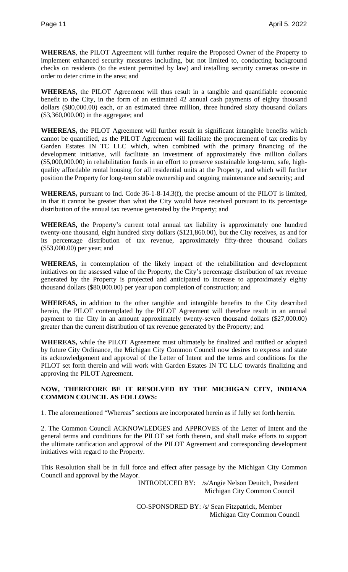**WHEREAS**, the PILOT Agreement will further require the Proposed Owner of the Property to implement enhanced security measures including, but not limited to, conducting background checks on residents (to the extent permitted by law) and installing security cameras on-site in order to deter crime in the area; and

**WHEREAS,** the PILOT Agreement will thus result in a tangible and quantifiable economic benefit to the City, in the form of an estimated 42 annual cash payments of eighty thousand dollars (\$80,000.00) each, or an estimated three million, three hundred sixty thousand dollars (\$3,360,000.00) in the aggregate; and

**WHEREAS,** the PILOT Agreement will further result in significant intangible benefits which cannot be quantified, as the PILOT Agreement will facilitate the procurement of tax credits by Garden Estates IN TC LLC which, when combined with the primary financing of the development initiative, will facilitate an investment of approximately five million dollars (\$5,000,000.00) in rehabilitation funds in an effort to preserve sustainable long-term, safe, highquality affordable rental housing for all residential units at the Property, and which will further position the Property for long-term stable ownership and ongoing maintenance and security; and

**WHEREAS,** pursuant to Ind. Code 36-1-8-14.3(f), the precise amount of the PILOT is limited, in that it cannot be greater than what the City would have received pursuant to its percentage distribution of the annual tax revenue generated by the Property; and

**WHEREAS,** the Property's current total annual tax liability is approximately one hundred twenty-one thousand, eight hundred sixty dollars (\$121,860.00), but the City receives, as and for its percentage distribution of tax revenue, approximately fifty-three thousand dollars (\$53,000.00) per year; and

**WHEREAS,** in contemplation of the likely impact of the rehabilitation and development initiatives on the assessed value of the Property, the City's percentage distribution of tax revenue generated by the Property is projected and anticipated to increase to approximately eighty thousand dollars (\$80,000.00) per year upon completion of construction; and

**WHEREAS,** in addition to the other tangible and intangible benefits to the City described herein, the PILOT contemplated by the PILOT Agreement will therefore result in an annual payment to the City in an amount approximately twenty-seven thousand dollars (\$27,000.00) greater than the current distribution of tax revenue generated by the Property; and

**WHEREAS,** while the PILOT Agreement must ultimately be finalized and ratified or adopted by future City Ordinance, the Michigan City Common Council now desires to express and state its acknowledgement and approval of the Letter of Intent and the terms and conditions for the PILOT set forth therein and will work with Garden Estates IN TC LLC towards finalizing and approving the PILOT Agreement.

## **NOW, THEREFORE BE IT RESOLVED BY THE MICHIGAN CITY, INDIANA COMMON COUNCIL AS FOLLOWS:**

1. The aforementioned "Whereas" sections are incorporated herein as if fully set forth herein.

2. The Common Council ACKNOWLEDGES and APPROVES of the Letter of Intent and the general terms and conditions for the PILOT set forth therein, and shall make efforts to support the ultimate ratification and approval of the PILOT Agreement and corresponding development initiatives with regard to the Property.

This Resolution shall be in full force and effect after passage by the Michigan City Common Council and approval by the Mayor.

> INTRODUCED BY: /s/Angie Nelson Deuitch, President Michigan City Common Council

 CO-SPONSORED BY: /s/ Sean Fitzpatrick, Member Michigan City Common Council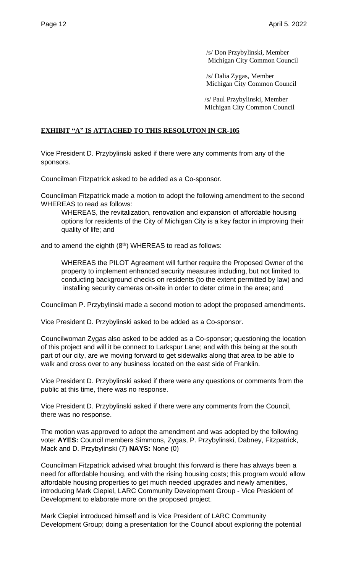/s/ Dalia Zygas, Member Michigan City Common Council

/s/ Paul Przybylinski, Member Michigan City Common Council

## **EXHIBIT "A" IS ATTACHED TO THIS RESOLUTON IN CR-105**

Vice President D. Przybylinski asked if there were any comments from any of the sponsors.

Councilman Fitzpatrick asked to be added as a Co-sponsor.

Councilman Fitzpatrick made a motion to adopt the following amendment to the second WHEREAS to read as follows:

WHEREAS, the revitalization, renovation and expansion of affordable housing options for residents of the City of Michigan City is a key factor in improving their quality of life; and

and to amend the eighth  $(8<sup>th</sup>)$  WHEREAS to read as follows:

WHEREAS the PILOT Agreement will further require the Proposed Owner of the property to implement enhanced security measures including, but not limited to, conducting background checks on residents (to the extent permitted by law) and installing security cameras on-site in order to deter crime in the area; and

Councilman P. Przybylinski made a second motion to adopt the proposed amendments.

Vice President D. Przybylinski asked to be added as a Co-sponsor.

Councilwoman Zygas also asked to be added as a Co-sponsor; questioning the location of this project and will it be connect to Larkspur Lane; and with this being at the south part of our city, are we moving forward to get sidewalks along that area to be able to walk and cross over to any business located on the east side of Franklin.

Vice President D. Przybylinski asked if there were any questions or comments from the public at this time, there was no response.

Vice President D. Przybylinski asked if there were any comments from the Council, there was no response.

The motion was approved to adopt the amendment and was adopted by the following vote: **AYES:** Council members Simmons, Zygas, P. Przybylinski, Dabney, Fitzpatrick, Mack and D. Przybylinski (7) **NAYS:** None (0)

Councilman Fitzpatrick advised what brought this forward is there has always been a need for affordable housing, and with the rising housing costs; this program would allow affordable housing properties to get much needed upgrades and newly amenities, introducing Mark Ciepiel, LARC Community Development Group - Vice President of Development to elaborate more on the proposed project.

Mark Ciepiel introduced himself and is Vice President of LARC Community Development Group; doing a presentation for the Council about exploring the potential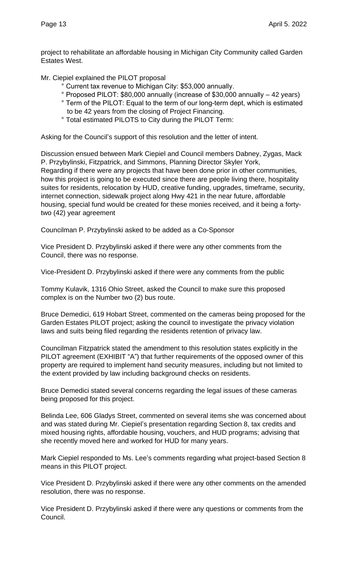project to rehabilitate an affordable housing in Michigan City Community called Garden Estates West.

Mr. Ciepiel explained the PILOT proposal

- ° Current tax revenue to Michigan City: \$53,000 annually.
- ° Proposed PILOT: \$80,000 annually (increase of \$30,000 annually 42 years)
- ° Term of the PILOT: Equal to the term of our long-term dept, which is estimated to be 42 years from the closing of Project Financing.
- ° Total estimated PILOTS to City during the PILOT Term:

Asking for the Council's support of this resolution and the letter of intent.

Discussion ensued between Mark Ciepiel and Council members Dabney, Zygas, Mack P. Przybylinski, Fitzpatrick, and Simmons, Planning Director Skyler York, Regarding if there were any projects that have been done prior in other communities, how this project is going to be executed since there are people living there, hospitality suites for residents, relocation by HUD, creative funding, upgrades, timeframe, security, internet connection, sidewalk project along Hwy 421 in the near future, affordable housing, special fund would be created for these monies received, and it being a fortytwo (42) year agreement

Councilman P. Przybylinski asked to be added as a Co-Sponsor

Vice President D. Przybylinski asked if there were any other comments from the Council, there was no response.

Vice-President D. Przybylinski asked if there were any comments from the public

Tommy Kulavik, 1316 Ohio Street, asked the Council to make sure this proposed complex is on the Number two (2) bus route.

Bruce Demedici, 619 Hobart Street, commented on the cameras being proposed for the Garden Estates PILOT project; asking the council to investigate the privacy violation laws and suits being filed regarding the residents retention of privacy law.

Councilman Fitzpatrick stated the amendment to this resolution states explicitly in the PILOT agreement (EXHIBIT "A") that further requirements of the opposed owner of this property are required to implement hand security measures, including but not limited to the extent provided by law including background checks on residents.

Bruce Demedici stated several concerns regarding the legal issues of these cameras being proposed for this project.

Belinda Lee, 606 Gladys Street, commented on several items she was concerned about and was stated during Mr. Ciepiel's presentation regarding Section 8, tax credits and mixed housing rights, affordable housing, vouchers, and HUD programs; advising that she recently moved here and worked for HUD for many years.

Mark Ciepiel responded to Ms. Lee's comments regarding what project-based Section 8 means in this PILOT project.

Vice President D. Przybylinski asked if there were any other comments on the amended resolution, there was no response.

Vice President D. Przybylinski asked if there were any questions or comments from the Council.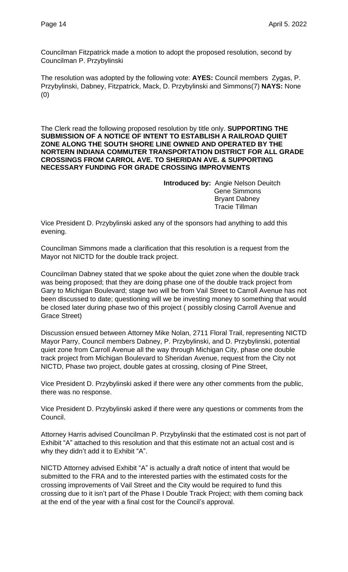Councilman Fitzpatrick made a motion to adopt the proposed resolution, second by Councilman P. Przybylinski

The resolution was adopted by the following vote: **AYES:** Council members Zygas, P. Przybylinski, Dabney, Fitzpatrick, Mack, D. Przybylinski and Simmons(7) **NAYS:** None (0)

The Clerk read the following proposed resolution by title only. **SUPPORTING THE SUBMISSION OF A NOTICE OF INTENT TO ESTABLISH A RAILROAD QUIET ZONE ALONG THE SOUTH SHORE LINE OWNED AND OPERATED BY THE NORTERN INDIANA COMMUTER TRANSPORTATION DISTRICT FOR ALL GRADE CROSSINGS FROM CARROL AVE. TO SHERIDAN AVE. & SUPPORTING NECESSARY FUNDING FOR GRADE CROSSING IMPROVMENTS**

> **Introduced by:** Angie Nelson Deuitch Gene Simmons Bryant Dabney Tracie Tillman

Vice President D. Przybylinski asked any of the sponsors had anything to add this evening.

Councilman Simmons made a clarification that this resolution is a request from the Mayor not NICTD for the double track project.

Councilman Dabney stated that we spoke about the quiet zone when the double track was being proposed; that they are doing phase one of the double track project from Gary to Michigan Boulevard; stage two will be from Vail Street to Carroll Avenue has not been discussed to date; questioning will we be investing money to something that would be closed later during phase two of this project ( possibly closing Carroll Avenue and Grace Street)

Discussion ensued between Attorney Mike Nolan, 2711 Floral Trail, representing NICTD Mayor Parry, Council members Dabney, P. Przybylinski, and D. Przybylinski, potential quiet zone from Carroll Avenue all the way through Michigan City, phase one double track project from Michigan Boulevard to Sheridan Avenue, request from the City not NICTD, Phase two project, double gates at crossing, closing of Pine Street,

Vice President D. Przybylinski asked if there were any other comments from the public, there was no response.

Vice President D. Przybylinski asked if there were any questions or comments from the Council.

Attorney Harris advised Councilman P. Przybylinski that the estimated cost is not part of Exhibit "A" attached to this resolution and that this estimate not an actual cost and is why they didn't add it to Exhibit "A".

NICTD Attorney advised Exhibit "A" is actually a draft notice of intent that would be submitted to the FRA and to the interested parties with the estimated costs for the crossing improvements of Vail Street and the City would be required to fund this crossing due to it isn't part of the Phase I Double Track Project; with them coming back at the end of the year with a final cost for the Council's approval.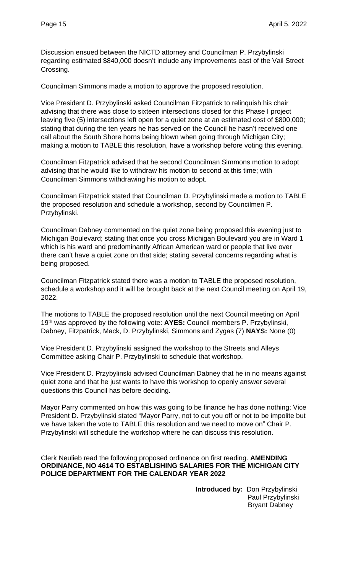Discussion ensued between the NICTD attorney and Councilman P. Przybylinski regarding estimated \$840,000 doesn't include any improvements east of the Vail Street Crossing.

Councilman Simmons made a motion to approve the proposed resolution.

Vice President D. Przybylinski asked Councilman Fitzpatrick to relinquish his chair advising that there was close to sixteen intersections closed for this Phase I project leaving five (5) intersections left open for a quiet zone at an estimated cost of \$800,000; stating that during the ten years he has served on the Council he hasn't received one call about the South Shore horns being blown when going through Michigan City; making a motion to TABLE this resolution, have a workshop before voting this evening.

Councilman Fitzpatrick advised that he second Councilman Simmons motion to adopt advising that he would like to withdraw his motion to second at this time; with Councilman Simmons withdrawing his motion to adopt.

Councilman Fitzpatrick stated that Councilman D. Przybylinski made a motion to TABLE the proposed resolution and schedule a workshop, second by Councilmen P. Przybylinski.

Councilman Dabney commented on the quiet zone being proposed this evening just to Michigan Boulevard; stating that once you cross Michigan Boulevard you are in Ward 1 which is his ward and predominantly African American ward or people that live over there can't have a quiet zone on that side; stating several concerns regarding what is being proposed.

Councilman Fitzpatrick stated there was a motion to TABLE the proposed resolution, schedule a workshop and it will be brought back at the next Council meeting on April 19, 2022.

The motions to TABLE the proposed resolution until the next Council meeting on April 19th was approved by the following vote: **AYES:** Council members P. Przybylinski, Dabney, Fitzpatrick, Mack, D. Przybylinski, Simmons and Zygas (7) **NAYS:** None (0)

Vice President D. Przybylinski assigned the workshop to the Streets and Alleys Committee asking Chair P. Przybylinski to schedule that workshop.

Vice President D. Przybylinski advised Councilman Dabney that he in no means against quiet zone and that he just wants to have this workshop to openly answer several questions this Council has before deciding.

Mayor Parry commented on how this was going to be finance he has done nothing; Vice President D. Przybylinski stated "Mayor Parry, not to cut you off or not to be impolite but we have taken the vote to TABLE this resolution and we need to move on" Chair P. Przybylinski will schedule the workshop where he can discuss this resolution.

Clerk Neulieb read the following proposed ordinance on first reading. **AMENDING ORDINANCE, NO 4614 TO ESTABLISHING SALARIES FOR THE MICHIGAN CITY POLICE DEPARTMENT FOR THE CALENDAR YEAR 2022**

> **Introduced by:** Don Przybylinski Paul Przybylinski Bryant Dabney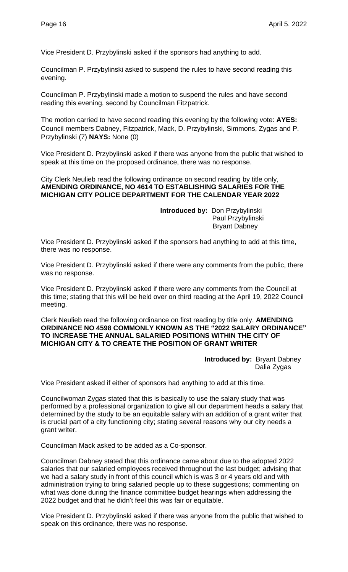Vice President D. Przybylinski asked if the sponsors had anything to add.

Councilman P. Przybylinski asked to suspend the rules to have second reading this evening.

Councilman P. Przybylinski made a motion to suspend the rules and have second reading this evening, second by Councilman Fitzpatrick.

The motion carried to have second reading this evening by the following vote: **AYES:**  Council members Dabney, Fitzpatrick, Mack, D. Przybylinski, Simmons, Zygas and P. Przybylinski (7) **NAYS:** None (0)

Vice President D. Przybylinski asked if there was anyone from the public that wished to speak at this time on the proposed ordinance, there was no response.

City Clerk Neulieb read the following ordinance on second reading by title only, **AMENDING ORDINANCE, NO 4614 TO ESTABLISHING SALARIES FOR THE MICHIGAN CITY POLICE DEPARTMENT FOR THE CALENDAR YEAR 2022**

> **Introduced by:** Don Przybylinski Paul Przybylinski Bryant Dabney

Vice President D. Przybylinski asked if the sponsors had anything to add at this time, there was no response.

Vice President D. Przybylinski asked if there were any comments from the public, there was no response.

Vice President D. Przybylinski asked if there were any comments from the Council at this time; stating that this will be held over on third reading at the April 19, 2022 Council meeting.

Clerk Neulieb read the following ordinance on first reading by title only, **AMENDING ORDINANCE NO 4598 COMMONLY KNOWN AS THE "2022 SALARY ORDINANCE" TO INCREASE THE ANNUAL SALARIED POSITIONS WITHIN THE CITY OF MICHIGAN CITY & TO CREATE THE POSITION OF GRANT WRITER**

> **Introduced by:** Bryant Dabney Dalia Zygas

Vice President asked if either of sponsors had anything to add at this time.

Councilwoman Zygas stated that this is basically to use the salary study that was performed by a professional organization to give all our department heads a salary that determined by the study to be an equitable salary with an addition of a grant writer that is crucial part of a city functioning city; stating several reasons why our city needs a grant writer.

Councilman Mack asked to be added as a Co-sponsor.

Councilman Dabney stated that this ordinance came about due to the adopted 2022 salaries that our salaried employees received throughout the last budget; advising that we had a salary study in front of this council which is was 3 or 4 years old and with administration trying to bring salaried people up to these suggestions; commenting on what was done during the finance committee budget hearings when addressing the 2022 budget and that he didn't feel this was fair or equitable.

Vice President D. Przybylinski asked if there was anyone from the public that wished to speak on this ordinance, there was no response.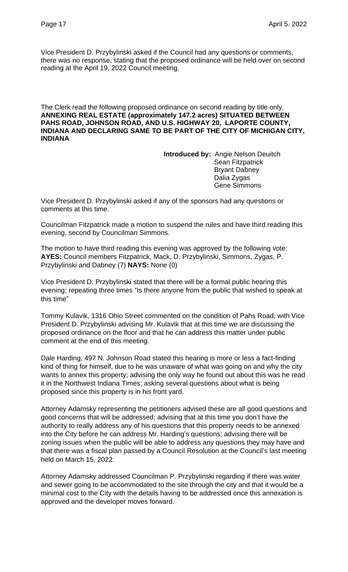Vice President D. Przybylinski asked if the Council had any questions or comments, there was no response, stating that the proposed ordinance will be held over on second reading at the April 19, 2022 Council meeting.

The Clerk read the following proposed ordinance on second reading by title only. **ANNEXING REAL ESTATE (approximately 147.2 acres) SITUATED BETWEEN PAHS ROAD, JOHNSON ROAD, AND U.S. HIGHWAY 20, LAPORTE COUNTY, INDIANA AND DECLARING SAME TO BE PART OF THE CITY OF MICHIGAN CITY, INDIANA**

> **Introduced by:** Angie Nelson Deuitch Sean Fitzpatrick Bryant Dabney Dalia Zygas Gene Simmons

Vice President D. Przybylinski asked if any of the sponsors had any questions or comments at this time.

Councilman Fitzpatrick made a motion to suspend the rules and have third reading this evening, second by Councilman Simmons.

The motion to have third reading this evening was approved by the following vote: **AYES:** Council members Fitzpatrick, Mack, D. Przybylinski, Simmons, Zygas, P. Przybylinski and Dabney (7) **NAYS:** None (0)

Vice President D. Przybylinski stated that there will be a formal public hearing this evening; repeating three times "Is there anyone from the public that wished to speak at this time"

Tommy Kulavik, 1316 Ohio Street commented on the condition of Pahs Road; with Vice President D. Przybylinski advising Mr. Kulavik that at this time we are discussing the proposed ordinance on the floor and that he can address this matter under public comment at the end of this meeting.

Dale Harding, 497 N. Johnson Road stated this hearing is more or less a fact-finding kind of thing for himself, due to he was unaware of what was going on and why the city wants to annex this property; advising the only way he found out about this was he read it in the Northwest Indiana Times; asking several questions about what is being proposed since this property is in his front yard.

Attorney Adamsky representing the petitioners advised these are all good questions and good concerns that will be addressed; advising that at this time you don't have the authority to really address any of his questions that this property needs to be annexed into the City before he can address Mr. Harding's questions; advising there will be zoning issues when the public will be able to address any questions they may have and that there was a fiscal plan passed by a Council Resolution at the Council's last meeting held on March 15, 2022.

Attorney Adamsky addressed Councilman P. Przybylinski regarding if there was water and sewer going to be accommodated to the site through the city and that it would be a minimal cost to the City with the details having to be addressed once this annexation is approved and the developer moves forward.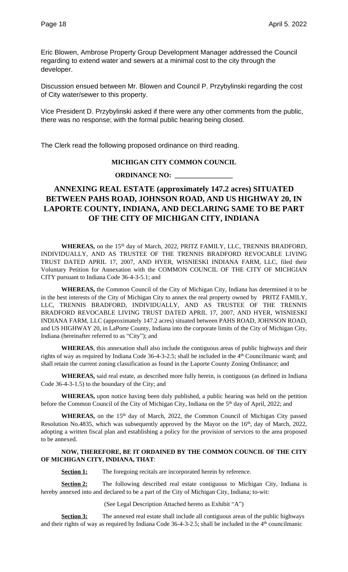Eric Blowen, Ambrose Property Group Development Manager addressed the Council regarding to extend water and sewers at a minimal cost to the city through the developer.

Discussion ensued between Mr. Blowen and Council P. Przybylinski regarding the cost of City water/sewer to this property.

Vice President D. Przybylinski asked if there were any other comments from the public, there was no response; with the formal public hearing being closed.

The Clerk read the following proposed ordinance on third reading.

#### **MICHIGAN CITY COMMON COUNCIL**

#### **ORDINANCE NO: \_\_\_\_\_\_\_\_\_\_\_\_\_\_\_\_\_**

## **ANNEXING REAL ESTATE (approximately 147.2 acres) SITUATED BETWEEN PAHS ROAD, JOHNSON ROAD, AND US HIGHWAY 20, IN LAPORTE COUNTY, INDIANA, AND DECLARING SAME TO BE PART OF THE CITY OF MICHIGAN CITY, INDIANA**

WHEREAS, on the 15<sup>th</sup> day of March, 2022, PRITZ FAMILY, LLC, TRENNIS BRADFORD, INDIVIDUALLY, AND AS TRUSTEE OF THE TRENNIS BRADFORD REVOCABLE LIVING TRUST DATED APRIL 17, 2007, AND HYER, WISNIESKI INDIANA FARM, LLC, filed their Voluntary Petition for Annexation with the COMMON COUNCIL OF THE CITY OF MICHGIAN CITY pursuant to Indiana Code 36-4-3-5.1; and

**WHEREAS,** the Common Council of the City of Michigan City, Indiana has determined it to be in the best interests of the City of Michigan City to annex the real property owned by PRITZ FAMILY, LLC, TRENNIS BRADFORD, INDIVIDUALLY, AND AS TRUSTEE OF THE TRENNIS BRADFORD REVOCABLE LIVING TRUST DATED APRIL 17, 2007, AND HYER, WISNIESKI INDIANA FARM, LLC (approximately 147.2 acres) situated between PAHS ROAD, JOHNSON ROAD, and US HIGHWAY 20, in LaPorte County, Indiana into the corporate limits of the City of Michigan City, Indiana (hereinafter referred to as "City"); and

**WHEREAS**, this annexation shall also include the contiguous areas of public highways and their rights of way as required by Indiana Code 36-4-3-2.5; shall be included in the 4<sup>th</sup> Councilmanic ward; and shall retain the current zoning classification as found in the Laporte County Zoning Ordinance; and

**WHEREAS,** said real estate, as described more fully herein, is contiguous (as defined in Indiana Code 36-4-3-1.5) to the boundary of the City; and

**WHEREAS,** upon notice having been duly published, a public hearing was held on the petition before the Common Council of the City of Michigan City, Indiana on the 5th day of April, 2022; and

WHEREAS, on the 15<sup>th</sup> day of March, 2022, the Common Council of Michigan City passed Resolution No.4835, which was subsequently approved by the Mayor on the 16<sup>th</sup>, day of March, 2022, adopting a written fiscal plan and establishing a policy for the provision of services to the area proposed to be annexed.

## **NOW, THEREFORE, BE IT ORDAINED BY THE COMMON COUNCIL OF THE CITY OF MICHIGAN CITY, INDIANA, THAT**:

**Section 1:** The foregoing recitals are incorporated herein by reference.

**Section 2:** The following described real estate contiguous to Michigan City, Indiana is hereby annexed into and declared to be a part of the City of Michigan City, Indiana; to-wit:

(See Legal Description Attached hereto as Exhibit "A")

**Section 3:** The annexed real estate shall include all contiguous areas of the public highways and their rights of way as required by Indiana Code  $36-4-3-2.5$ ; shall be included in the  $4<sup>th</sup>$  councilmanic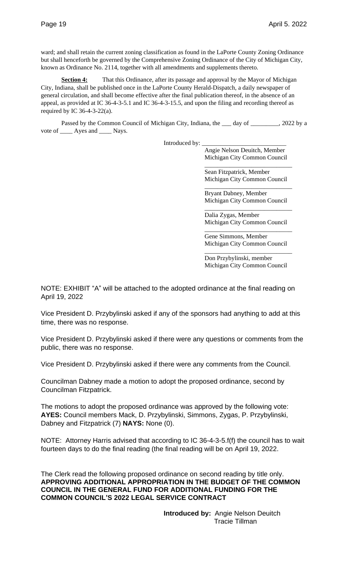ward; and shall retain the current zoning classification as found in the LaPorte County Zoning Ordinance but shall henceforth be governed by the Comprehensive Zoning Ordinance of the City of Michigan City, known as Ordinance No. 2114, together with all amendments and supplements thereto.

**Section 4:** That this Ordinance, after its passage and approval by the Mayor of Michigan City, Indiana, shall be published once in the LaPorte County Herald-Dispatch, a daily newspaper of general circulation, and shall become effective after the final publication thereof, in the absence of an appeal, as provided at IC 36-4-3-5.1 and IC 36-4-3-15.5, and upon the filing and recording thereof as required by IC 36-4-3-22(a).

Passed by the Common Council of Michigan City, Indiana, the \_\_\_ day of \_\_\_\_\_\_\_, 2022 by a vote of \_\_\_\_\_\_ Ayes and \_\_\_\_\_\_ Nays.

Introduced by:

Angie Nelson Deuitch, Member Michigan City Common Council

Sean Fitzpatrick, Member Michigan City Common Council

\_\_\_\_\_\_\_\_\_\_\_\_\_\_\_\_\_\_\_\_\_\_\_\_\_\_\_\_

\_\_\_\_\_\_\_\_\_\_\_\_\_\_\_\_\_\_\_\_\_\_\_\_\_\_\_\_ Bryant Dabney, Member Michigan City Common Council \_\_\_\_\_\_\_\_\_\_\_\_\_\_\_\_\_\_\_\_\_\_\_\_\_\_\_\_

Dalia Zygas, Member Michigan City Common Council \_\_\_\_\_\_\_\_\_\_\_\_\_\_\_\_\_\_\_\_\_\_\_\_\_\_\_\_

Gene Simmons, Member Michigan City Common Council

\_\_\_\_\_\_\_\_\_\_\_\_\_\_\_\_\_\_\_\_\_\_\_\_\_\_\_\_ Don Przybylinski, member Michigan City Common Council

NOTE: EXHIBIT "A" will be attached to the adopted ordinance at the final reading on April 19, 2022

Vice President D. Przybylinski asked if any of the sponsors had anything to add at this time, there was no response.

Vice President D. Przybylinski asked if there were any questions or comments from the public, there was no response.

Vice President D. Przybylinski asked if there were any comments from the Council.

Councilman Dabney made a motion to adopt the proposed ordinance, second by Councilman Fitzpatrick.

The motions to adopt the proposed ordinance was approved by the following vote: **AYES:** Council members Mack, D. Przybylinski, Simmons, Zygas, P. Przybylinski, Dabney and Fitzpatrick (7) **NAYS:** None (0).

NOTE: Attorney Harris advised that according to IC 36-4-3-5.f(f) the council has to wait fourteen days to do the final reading (the final reading will be on April 19, 2022.

The Clerk read the following proposed ordinance on second reading by title only. **APPROVING ADDITIONAL APPROPRIATION IN THE BUDGET OF THE COMMON COUNCIL IN THE GENERAL FUND FOR ADDITIONAL FUNDING FOR THE COMMON COUNCIL'S 2022 LEGAL SERVICE CONTRACT**

> **Introduced by:** Angie Nelson Deuitch Tracie Tillman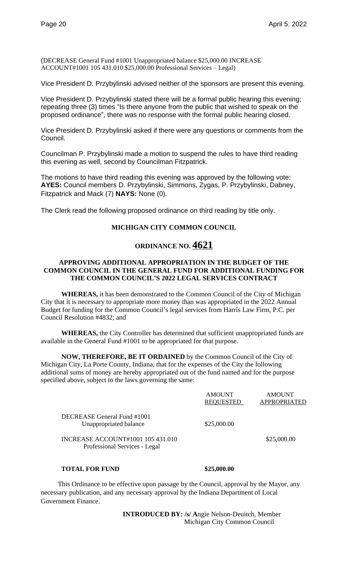(DECREASE General Fund #1001 Unappropriated balance \$25,000.00 INCREASE ACCOUNT#1001 105 431.010 \$25,000.00 Professional Services – Legal)

Vice President D. Przybylinski advised neither of the sponsors are present this evening.

Vice President D. Przybylinski stated there will be a formal public hearing this evening; repeating three (3) times "Is there anyone from the public that wished to speak on the proposed ordinance", there was no response with the formal public hearing closed.

Vice President D. Przybylinski asked if there were any questions or comments from the Council.

Councilman P. Przybylinski made a motion to suspend the rules to have third reading this evening as well, second by Councilman Fitzpatrick.

The motions to have third reading this evening was approved by the following vote: **AYES:** Council members D. Przybylinski, Simmons, Zygas, P. Przybylinski, Dabney, Fitzpatrick and Mack (7) **NAYS:** None (0).

The Clerk read the following proposed ordinance on third reading by title only.

## **MICHIGAN CITY COMMON COUNCIL**

## **ORDINANCE NO. 4621**

## **APPROVING ADDITIONAL APPROPRIATION IN THE BUDGET OF THE COMMON COUNCIL IN THE GENERAL FUND FOR ADDITIONAL FUNDING FOR THE COMMON COUNCIL'S 2022 LEGAL SERVICES CONTRACT**

**WHEREAS,** it has been demonstrated to the Common Council of the City of Michigan City that it is necessary to appropriate more money than was appropriated in the 2022 Annual Budget for funding for the Common Council's legal services from Harris Law Firm, P.C. per Council Resolution #4832; and

**WHEREAS,** the City Controller has determined that sufficient unappropriated funds are available in the General Fund #1001 to be appropriated for that purpose.

**NOW, THEREFORE, BE IT ORDAINED** by the Common Council of the City of Michigan City, La Porte County, Indiana, that for the expenses of the City the following additional sums of money are hereby appropriated out of the fund named and for the purpose specified above, subject to the laws governing the same:

|                                                                    | <b>AMOUNT</b><br><b>REQUESTED</b> | <b>AMOUNT</b><br><b>APPROPRIATED</b> |
|--------------------------------------------------------------------|-----------------------------------|--------------------------------------|
| DECREASE General Fund #1001<br>Unappropriated balance              | \$25,000.00                       |                                      |
| INCREASE ACCOUNT#1001 105 431,010<br>Professional Services - Legal |                                   | \$25,000.00                          |
|                                                                    |                                   |                                      |

## **TOTAL FOR FUND \$25,000.00**

 This Ordinance to be effective upon passage by the Council, approval by the Mayor, any necessary publication, and any necessary approval by the Indiana Department of Local Government Finance.

> **INTRODUCED BY: /s/ A**ngie Nelson-Deuitch, Member Michigan City Common Council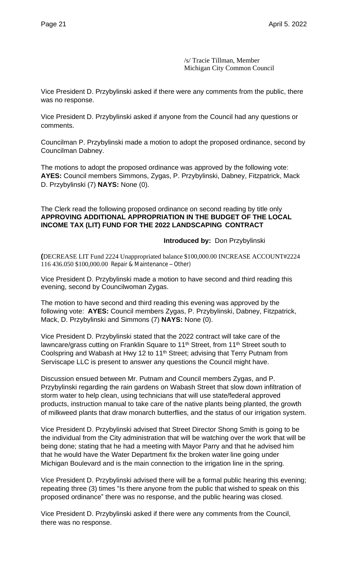/s/ Tracie Tillman, Member Michigan City Common Council

Vice President D. Przybylinski asked if there were any comments from the public, there was no response.

Vice President D. Przybylinski asked if anyone from the Council had any questions or comments.

Councilman P. Przybylinski made a motion to adopt the proposed ordinance, second by Councilman Dabney.

The motions to adopt the proposed ordinance was approved by the following vote: **AYES:** Council members Simmons, Zygas, P. Przybylinski, Dabney, Fitzpatrick, Mack D. Przybylinski (7) **NAYS:** None (0).

The Clerk read the following proposed ordinance on second reading by title only **APPROVING ADDITIONAL APPROPRIATION IN THE BUDGET OF THE LOCAL INCOME TAX (LIT) FUND FOR THE 2022 LANDSCAPING CONTRACT**

## **Introduced by:** Don Przybylinski

**(**DECREASE LIT Fund 2224 Unappropriated balance \$100,000.00 INCREASE ACCOUNT#2224 116 436.050 \$100,000.00 Repair & Maintenance – Other)

Vice President D. Przybylinski made a motion to have second and third reading this evening, second by Councilwoman Zygas.

The motion to have second and third reading this evening was approved by the following vote: **AYES:** Council members Zygas, P. Przybylinski, Dabney, Fitzpatrick, Mack, D. Przybylinski and Simmons (7) **NAYS:** None (0).

Vice President D. Przybylinski stated that the 2022 contract will take care of the lawncare/grass cutting on Franklin Square to 11<sup>th</sup> Street, from 11<sup>th</sup> Street south to Coolspring and Wabash at Hwy 12 to 11<sup>th</sup> Street; advising that Terry Putnam from Serviscape LLC is present to answer any questions the Council might have.

Discussion ensued between Mr. Putnam and Council members Zygas, and P. Przybylinski regarding the rain gardens on Wabash Street that slow down infiltration of storm water to help clean, using technicians that will use state/federal approved products, instruction manual to take care of the native plants being planted, the growth of milkweed plants that draw monarch butterflies, and the status of our irrigation system.

Vice President D. Przybylinski advised that Street Director Shong Smith is going to be the individual from the City administration that will be watching over the work that will be being done; stating that he had a meeting with Mayor Parry and that he advised him that he would have the Water Department fix the broken water line going under Michigan Boulevard and is the main connection to the irrigation line in the spring.

Vice President D. Przybylinski advised there will be a formal public hearing this evening; repeating three (3) times "Is there anyone from the public that wished to speak on this proposed ordinance" there was no response, and the public hearing was closed.

Vice President D. Przybylinski asked if there were any comments from the Council, there was no response.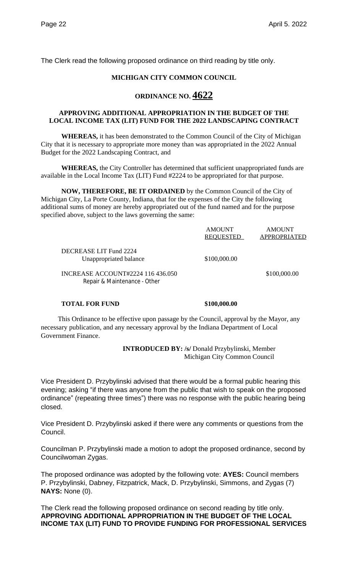The Clerk read the following proposed ordinance on third reading by title only.

## **MICHIGAN CITY COMMON COUNCIL**

## **ORDINANCE NO. 4622**

## **APPROVING ADDITIONAL APPROPRIATION IN THE BUDGET OF THE LOCAL INCOME TAX (LIT) FUND FOR THE 2022 LANDSCAPING CONTRACT**

**WHEREAS,** it has been demonstrated to the Common Council of the City of Michigan City that it is necessary to appropriate more money than was appropriated in the 2022 Annual Budget for the 2022 Landscaping Contract, and

**WHEREAS,** the City Controller has determined that sufficient unappropriated funds are available in the Local Income Tax (LIT) Fund #2224 to be appropriated for that purpose.

**NOW, THEREFORE, BE IT ORDAINED** by the Common Council of the City of Michigan City, La Porte County, Indiana, that for the expenses of the City the following additional sums of money are hereby appropriated out of the fund named and for the purpose specified above, subject to the laws governing the same:

|                                                                   | <b>AMOUNT</b><br><b>REQUESTED</b> | <b>AMOUNT</b><br>APPROPRIATED |
|-------------------------------------------------------------------|-----------------------------------|-------------------------------|
| DECREASE LIT Fund 2224<br>Unappropriated balance                  | \$100,000.00                      |                               |
| INCREASE ACCOUNT#2224 116 436.050<br>Repair & Maintenance - Other |                                   | \$100,000.00                  |

## **TOTAL FOR FUND \$100,000.00**

 This Ordinance to be effective upon passage by the Council, approval by the Mayor, any necessary publication, and any necessary approval by the Indiana Department of Local Government Finance.

> **INTRODUCED BY: /s/** Donald Przybylinski, Member Michigan City Common Council

Vice President D. Przybylinski advised that there would be a formal public hearing this evening; asking "if there was anyone from the public that wish to speak on the proposed ordinance" (repeating three times") there was no response with the public hearing being closed.

Vice President D. Przybylinski asked if there were any comments or questions from the Council.

Councilman P. Przybylinski made a motion to adopt the proposed ordinance, second by Councilwoman Zygas.

The proposed ordinance was adopted by the following vote: **AYES:** Council members P. Przybylinski, Dabney, Fitzpatrick, Mack, D. Przybylinski, Simmons, and Zygas (7) **NAYS:** None (0).

The Clerk read the following proposed ordinance on second reading by title only. **APPROVING ADDITIONAL APPROPRIATION IN THE BUDGET OF THE LOCAL INCOME TAX (LIT) FUND TO PROVIDE FUNDING FOR PROFESSIONAL SERVICES**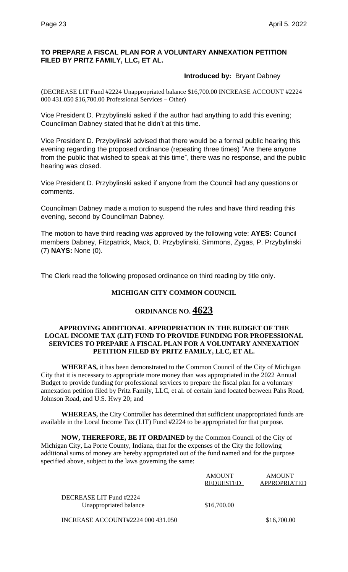## **TO PREPARE A FISCAL PLAN FOR A VOLUNTARY ANNEXATION PETITION FILED BY PRITZ FAMILY, LLC, ET AL.**

## **Introduced by:** Bryant Dabney

(DECREASE LIT Fund #2224 Unappropriated balance \$16,700.00 INCREASE ACCOUNT #2224 000 431.050 \$16,700.00 Professional Services – Other)

Vice President D. Przybylinski asked if the author had anything to add this evening; Councilman Dabney stated that he didn't at this time.

Vice President D. Przybylinski advised that there would be a formal public hearing this evening regarding the proposed ordinance (repeating three times) "Are there anyone from the public that wished to speak at this time", there was no response, and the public hearing was closed.

Vice President D. Przybylinski asked if anyone from the Council had any questions or comments.

Councilman Dabney made a motion to suspend the rules and have third reading this evening, second by Councilman Dabney.

The motion to have third reading was approved by the following vote: **AYES:** Council members Dabney, Fitzpatrick, Mack, D. Przybylinski, Simmons, Zygas, P. Przybylinski (7) **NAYS:** None (0).

The Clerk read the following proposed ordinance on third reading by title only.

## **MICHIGAN CITY COMMON COUNCIL**

## **ORDINANCE NO. 4623**

## **APPROVING ADDITIONAL APPROPRIATION IN THE BUDGET OF THE LOCAL INCOME TAX (LIT) FUND TO PROVIDE FUNDING FOR PROFESSIONAL SERVICES TO PREPARE A FISCAL PLAN FOR A VOLUNTARY ANNEXATION PETITION FILED BY PRITZ FAMILY, LLC, ET AL.**

**WHEREAS,** it has been demonstrated to the Common Council of the City of Michigan City that it is necessary to appropriate more money than was appropriated in the 2022 Annual Budget to provide funding for professional services to prepare the fiscal plan for a voluntary annexation petition filed by Pritz Family, LLC, et al. of certain land located between Pahs Road, Johnson Road, and U.S. Hwy 20; and

**WHEREAS,** the City Controller has determined that sufficient unappropriated funds are available in the Local Income Tax (LIT) Fund #2224 to be appropriated for that purpose.

**NOW, THEREFORE, BE IT ORDAINED** by the Common Council of the City of Michigan City, La Porte County, Indiana, that for the expenses of the City the following additional sums of money are hereby appropriated out of the fund named and for the purpose specified above, subject to the laws governing the same:

| <b>REQUESTED</b>                                                 | APPROPRIATED |
|------------------------------------------------------------------|--------------|
| DECREASE LIT Fund #2224<br>\$16,700.00<br>Unappropriated balance |              |

INCREASE ACCOUNT#2224 000 431.050 \$16,700.00

AMOUNT AMOUNT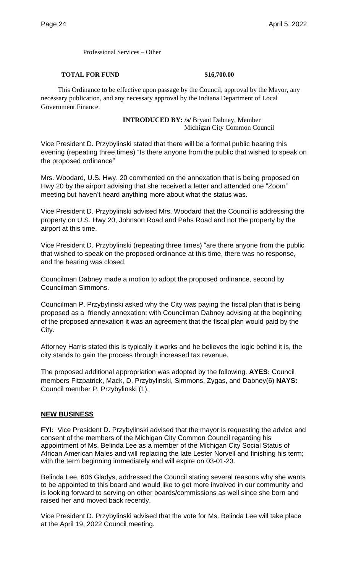Professional Services – Other

#### **TOTAL FOR FUND \$16,700.00**

 This Ordinance to be effective upon passage by the Council, approval by the Mayor, any necessary publication, and any necessary approval by the Indiana Department of Local Government Finance.

> **INTRODUCED BY: /s/** Bryant Dabney, Member Michigan City Common Council

Vice President D. Przybylinski stated that there will be a formal public hearing this evening (repeating three times) "Is there anyone from the public that wished to speak on the proposed ordinance"

Mrs. Woodard, U.S. Hwy. 20 commented on the annexation that is being proposed on Hwy 20 by the airport advising that she received a letter and attended one "Zoom" meeting but haven't heard anything more about what the status was.

Vice President D. Przybylinski advised Mrs. Woodard that the Council is addressing the property on U.S. Hwy 20, Johnson Road and Pahs Road and not the property by the airport at this time.

Vice President D. Przybylinski (repeating three times) "are there anyone from the public that wished to speak on the proposed ordinance at this time, there was no response, and the hearing was closed.

Councilman Dabney made a motion to adopt the proposed ordinance, second by Councilman Simmons.

Councilman P. Przybylinski asked why the City was paying the fiscal plan that is being proposed as a friendly annexation; with Councilman Dabney advising at the beginning of the proposed annexation it was an agreement that the fiscal plan would paid by the City.

Attorney Harris stated this is typically it works and he believes the logic behind it is, the city stands to gain the process through increased tax revenue.

The proposed additional appropriation was adopted by the following. **AYES:** Council members Fitzpatrick, Mack, D. Przybylinski, Simmons, Zygas, and Dabney(6) **NAYS:**  Council member P. Przybylinski (1).

## **NEW BUSINESS**

**FYI:** Vice President D. Przybylinski advised that the mayor is requesting the advice and consent of the members of the Michigan City Common Council regarding his appointment of Ms. Belinda Lee as a member of the Michigan City Social Status of African American Males and will replacing the late Lester Norvell and finishing his term; with the term beginning immediately and will expire on 03-01-23.

Belinda Lee, 606 Gladys, addressed the Council stating several reasons why she wants to be appointed to this board and would like to get more involved in our community and is looking forward to serving on other boards/commissions as well since she born and raised her and moved back recently.

Vice President D. Przybylinski advised that the vote for Ms. Belinda Lee will take place at the April 19, 2022 Council meeting.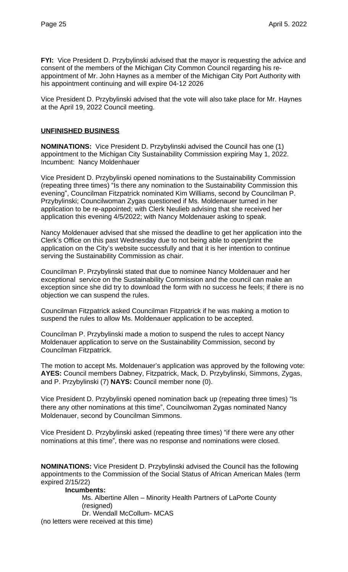**FYI:** Vice President D. Przybylinski advised that the mayor is requesting the advice and consent of the members of the Michigan City Common Council regarding his reappointment of Mr. John Haynes as a member of the Michigan City Port Authority with his appointment continuing and will expire 04-12 2026

Vice President D. Przybylinski advised that the vote will also take place for Mr. Haynes at the April 19, 2022 Council meeting.

## **UNFINISHED BUSINESS**

**NOMINATIONS:** Vice President D. Przybylinski advised the Council has one (1) appointment to the Michigan City Sustainability Commission expiring May 1, 2022. Incumbent: Nancy Moldenhauer

Vice President D. Przybylinski opened nominations to the Sustainability Commission (repeating three times) "Is there any nomination to the Sustainability Commission this evening", Councilman Fitzpatrick nominated Kim Williams, second by Councilman P. Przybylinski; Councilwoman Zygas questioned if Ms. Moldenauer turned in her application to be re-appointed; with Clerk Neulieb advising that she received her application this evening 4/5/2022; with Nancy Moldenauer asking to speak.

Nancy Moldenauer advised that she missed the deadline to get her application into the Clerk's Office on this past Wednesday due to not being able to open/print the application on the City's website successfully and that it is her intention to continue serving the Sustainability Commission as chair.

Councilman P. Przybylinski stated that due to nominee Nancy Moldenauer and her exceptional service on the Sustainability Commission and the council can make an exception since she did try to download the form with no success he feels; if there is no objection we can suspend the rules.

Councilman Fitzpatrick asked Councilman Fitzpatrick if he was making a motion to suspend the rules to allow Ms. Moldenauer application to be accepted.

Councilman P. Przybylinski made a motion to suspend the rules to accept Nancy Moldenauer application to serve on the Sustainability Commission, second by Councilman Fitzpatrick.

The motion to accept Ms. Moldenauer's application was approved by the following vote: **AYES:** Council members Dabney, Fitzpatrick, Mack, D. Przybylinski, Simmons, Zygas, and P. Przybylinski (7) **NAYS:** Council member none (0).

Vice President D. Przybylinski opened nomination back up (repeating three times) "Is there any other nominations at this time", Councilwoman Zygas nominated Nancy Moldenauer, second by Councilman Simmons.

Vice President D. Przybylinski asked (repeating three times) "if there were any other nominations at this time", there was no response and nominations were closed.

**NOMINATIONS:** Vice President D. Przybylinski advised the Council has the following appointments to the Commission of the Social Status of African American Males (term expired 2/15/22)

## **Incumbents:**

Ms. Albertine Allen – Minority Health Partners of LaPorte County (resigned) Dr. Wendall McCollum- MCAS (no letters were received at this time)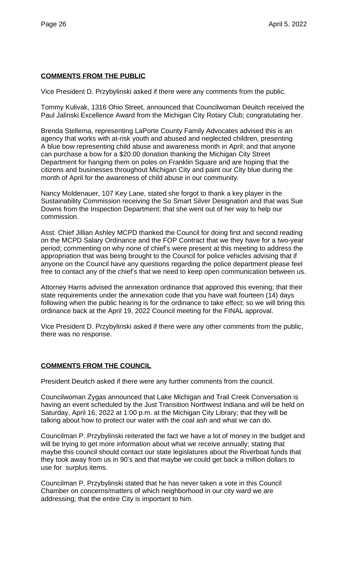## **COMMENTS FROM THE PUBLIC**

Vice President D. Przybylinski asked if there were any comments from the public.

Tommy Kulivak, 1316 Ohio Street, announced that Councilwoman Deuitch received the Paul Jalinski Excellence Award from the Michigan City Rotary Club; congratulating her.

Brenda Stellema, representing LaPorte County Family Advocates advised this is an agency that works with at-risk youth and abused and neglected children, presenting A blue bow representing child abuse and awareness month in April; and that anyone can purchase a bow for a \$20.00 donation thanking the Michigan City Street Department for hanging them on poles on Franklin Square and are hoping that the citizens and businesses throughout Michigan City and paint our City blue during the month of April for the awareness of child abuse in our community.

Nancy Moldenauer, 107 Key Lane, stated she forgot to thank a key player in the Sustainability Commission receiving the So Smart Silver Designation and that was Sue Downs from the Inspection Department; that she went out of her way to help our commission.

Asst. Chief Jillian Ashley MCPD thanked the Council for doing first and second reading on the MCPD Salary Ordinance and the FOP Contract that we they have for a two-year period; commenting on why none of chief's were present at this meeting to address the appropriation that was being brought to the Council for police vehicles advising that if anyone on the Council have any questions regarding the police department please feel free to contact any of the chief's that we need to keep open communication between us.

Attorney Harris advised the annexation ordinance that approved this evening; that their state requirements under the annexation code that you have wait fourteen (14) days following when the public hearing is for the ordinance to take effect; so we will bring this ordinance back at the April 19, 2022 Council meeting for the FINAL approval.

Vice President D. Przybylinski asked if there were any other comments from the public, there was no response.

## **COMMENTS FROM THE COUNCIL**

President Deuitch asked if there were any further comments from the council.

Councilwoman Zygas announced that Lake Michigan and Trail Creek Conversation is having an event scheduled by the Just Transition Northwest Indiana and will be held on Saturday, April 16, 2022 at 1:00 p.m. at the Michigan City Library; that they will be talking about how to protect our water with the coal ash and what we can do.

Councilman P. Przybylinski reiterated the fact we have a lot of money in the budget and will be trying to get more information about what we receive annually; stating that maybe this council should contact our state legislatures about the Riverboat funds that they took away from us in 90's and that maybe we could get back a million dollars to use for surplus items.

Councilman P. Przybylinski stated that he has never taken a vote in this Council Chamber on concerns/matters of which neighborhood in our city ward we are addressing; that the entire City is important to him.